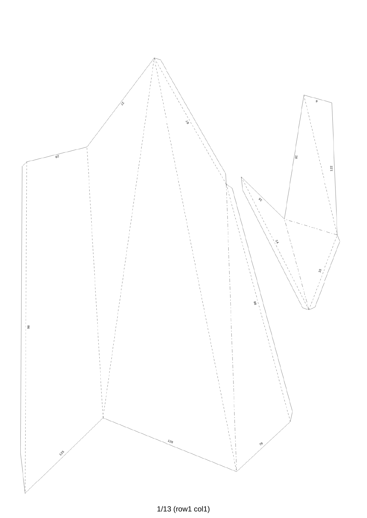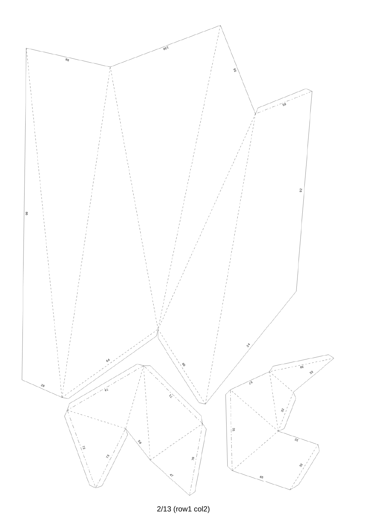

2/13 (row1 col2)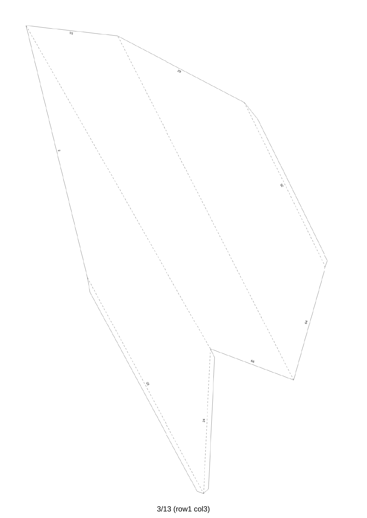

<sup>3/13 (</sup>row1 col3)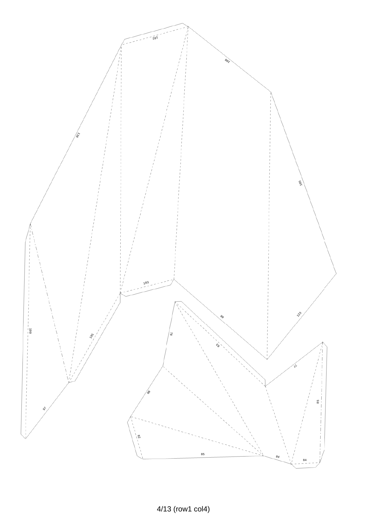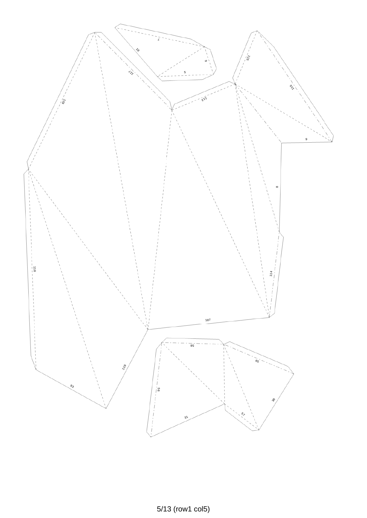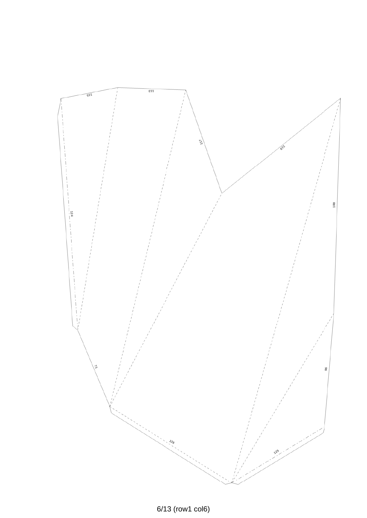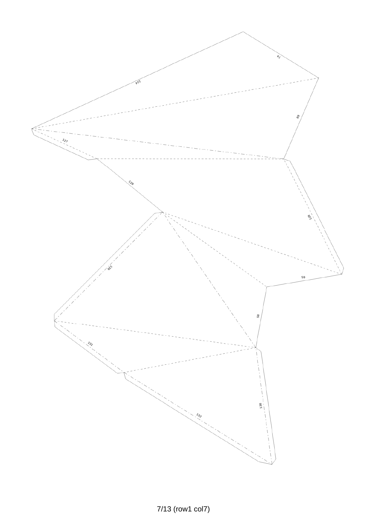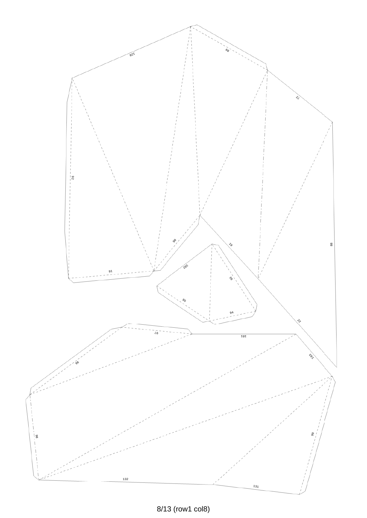

8/13 (row1 col8)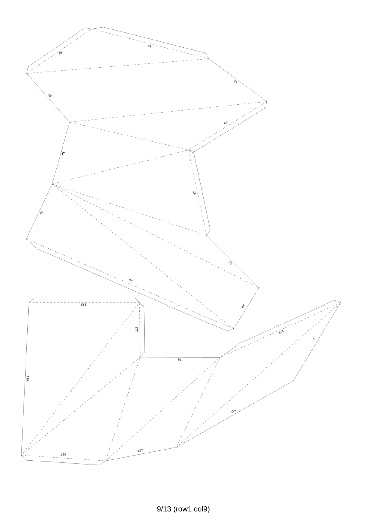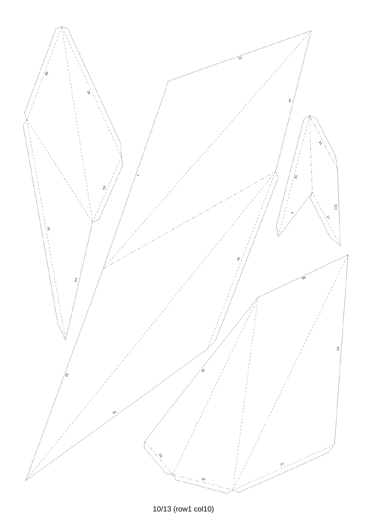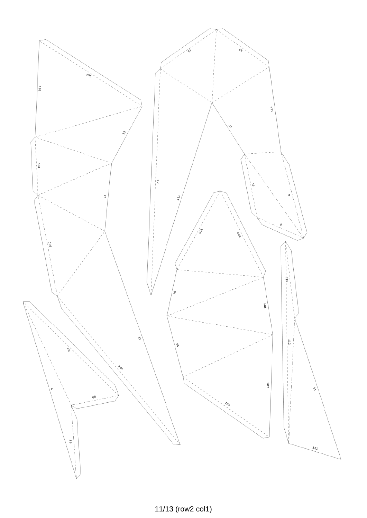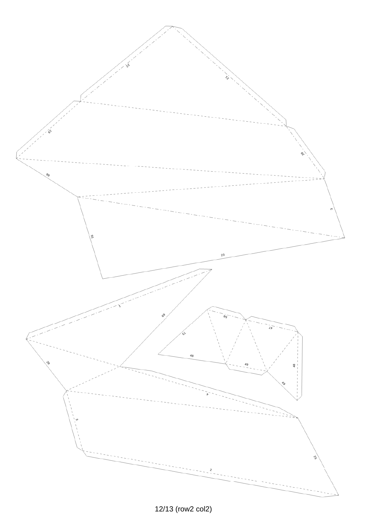

12/13 (row2 col2)